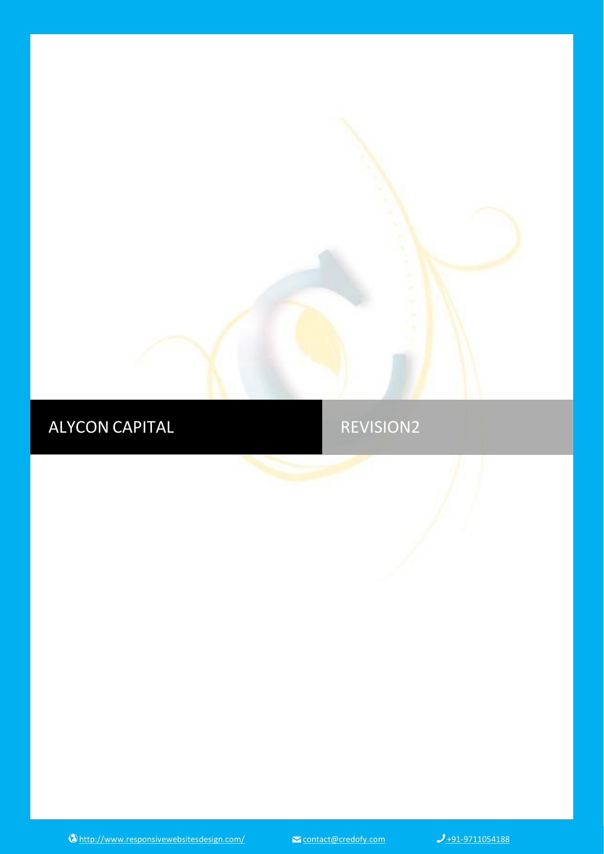# ALYCON CAPITAL REVISION2

<http://www.responsivewebsitesdesign.com/>[contact@credofy.com](mailto:contact@credofy.com)  $J_{+91-9711054188}$ 

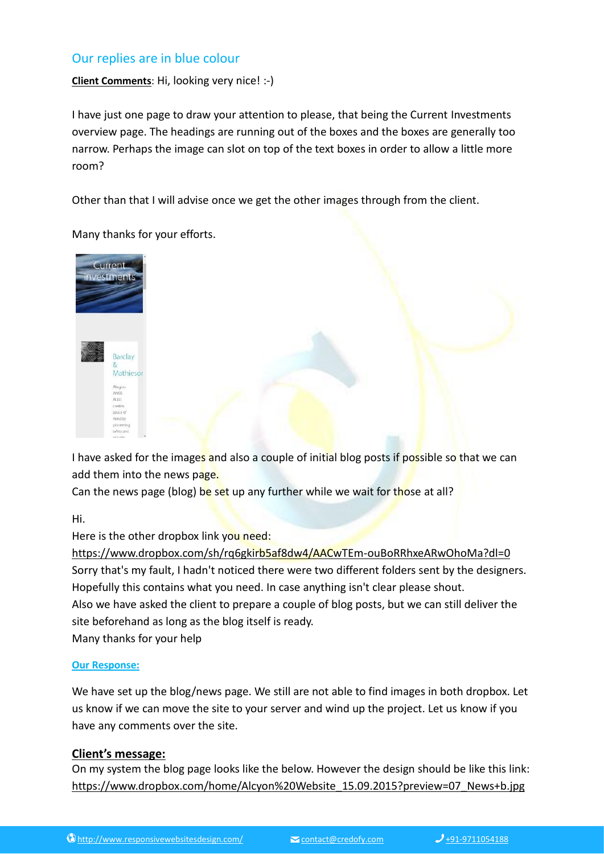# Our replies are in blue colour

**Client Comments**: Hi, looking very nice! :-)

I have just one page to draw your attention to please, that being the Current Investments overview page. The headings are running out of the boxes and the boxes are generally too narrow. Perhaps the image can slot on top of the text boxes in order to allow a little more room?

Other than that I will advise once we get the other images through from the client.

Many thanks for your efforts.



I have asked for the images and also a couple of initial blog posts if possible so that we can add them into the news page.

Can the news page (blog) be set up any further while we wait for those at all?

Hi.

Here is the other dropbox link you need:

<https://www.dropbox.com/sh/rq6gkirb5af8dw4/AACwTEm-ouBoRRhxeARwOhoMa?dl=0> Sorry that's my fault, I hadn't noticed there were two different folders sent by the designers. Hopefully this contains what you need. In case anything isn't clear please shout. Also we have asked the client to prepare a couple of blog posts, but we can still deliver the site beforehand as long as the blog itself is ready. Many thanks for your help

#### **Our Response:**

We have set up the blog/news page. We still are not able to find images in both dropbox. Let us know if we can move the site to your server and wind up the project. Let us know if you have any comments over the site.

#### **Client's message:**

On my system the blog page looks like the below. However the design should be like this link: [https://www.dropbox.com/home/Alcyon%20Website\\_15.09.2015?preview=07\\_News+b.jpg](https://www.dropbox.com/home/Alcyon%20Website_15.09.2015?preview=07_News+b.jpg)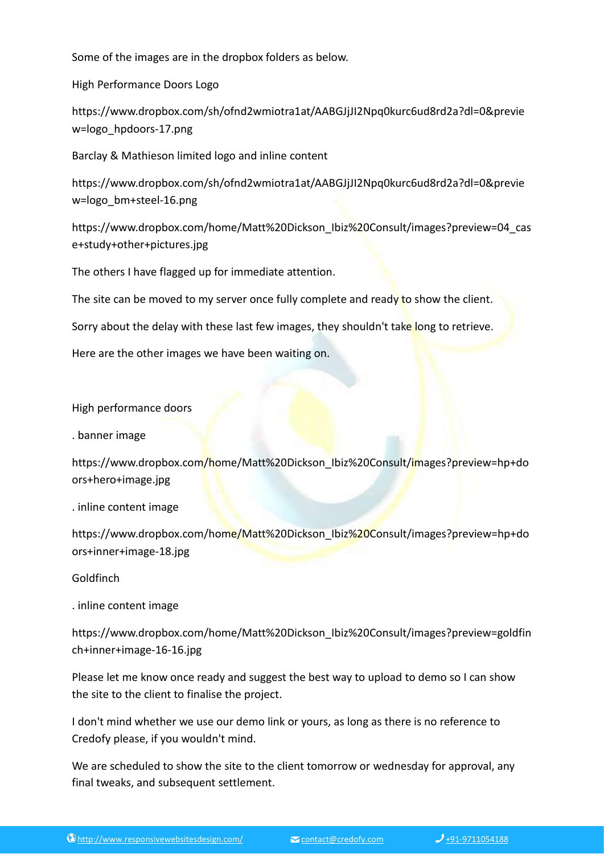Some of the images are in the dropbox folders as below.

High Performance Doors Logo

https://www.dropbox.com/sh/ofnd2wmiotra1at/AABGJjJI2Npq0kurc6ud8rd2a?dl=0&previe w=logo\_hpdoors-17.png

Barclay & Mathieson limited logo and inline content

https://www.dropbox.com/sh/ofnd2wmiotra1at/AABGJjJI2Npq0kurc6ud8rd2a?dl=0&previe w=logo\_bm+steel-16.png

https://www.dropbox.com/home/Matt%20Dickson\_Ibiz%20Consult/images?preview=04\_cas e+study+other+pictures.jpg

The others I have flagged up for immediate attention.

The site can be moved to my server once fully complete and ready to show the client.

Sorry about the delay with these last few images, they shouldn't take long to retrieve.

Here are the other images we have been waiting on.

High performance doors

. banner image

https://www.dropbox.com/home/Matt%20Dickson\_Ibiz%20Consult/images?preview=hp+do ors+hero+image.jpg

. inline content image

https://www.dropbox.com/home/Matt%20Dickson\_Ibiz%20Consult/images?preview=hp+do ors+inner+image-18.jpg

Goldfinch

. inline content image

https://www.dropbox.com/home/Matt%20Dickson\_Ibiz%20Consult/images?preview=goldfin ch+inner+image-16-16.jpg

Please let me know once ready and suggest the best way to upload to demo so I can show the site to the client to finalise the project.

I don't mind whether we use our demo link or yours, as long as there is no reference to Credofy please, if you wouldn't mind.

We are scheduled to show the site to the client tomorrow or wednesday for approval, any final tweaks, and subsequent settlement.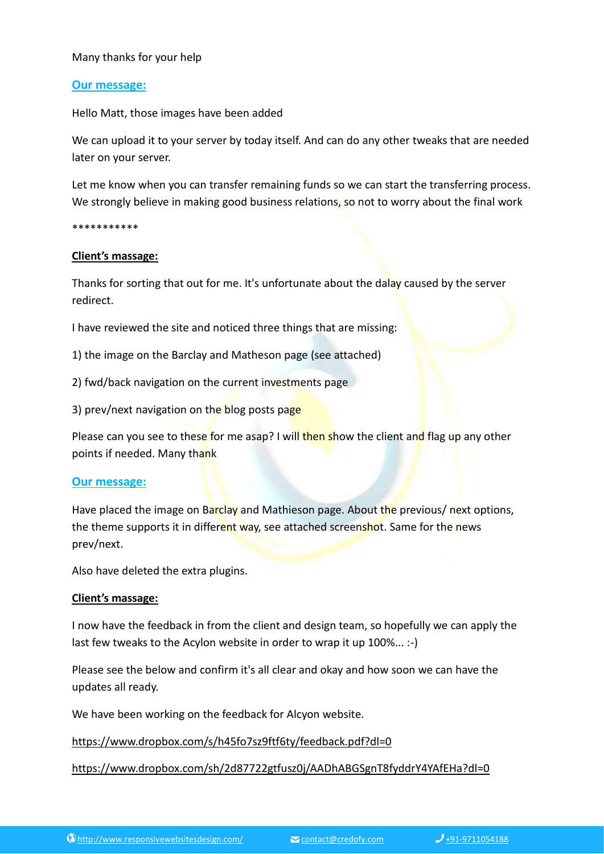### Many thanks for your help

### **Our message:**

Hello Matt, those images have been added

We can upload it to your server by today itself. And can do any other tweaks that are needed later on your server.

Let me know when you can transfer remaining funds so we can start the transferring process. We strongly believe in making good business relations, so not to worry about the final work

\*\*\*\*\*\*\*\*\*\*\*

#### **Client's massage:**

Thanks for sorting that out for me. It's unfortunate about the dalay caused by the server redirect.

I have reviewed the site and noticed three things that are missing:

1) the image on the Barclay and Matheson page (see attached)

2) fwd/back navigation on the current investments page

3) prev/next navigation on the blog posts page

Please can you see to these for me asap? I will then show the client and flag up any other points if needed. Many thank

#### **Our message:**

Have placed the image on Barclay and Mathieson page. About the previous/ next options, the theme supports it in different way, see attached screenshot. Same for the news prev/next.

Also have deleted the extra plugins.

#### **Client's massage:**

I now have the feedback in from the client and design team, so hopefully we can apply the last few tweaks to the Acylon website in order to wrap it up 100%... :-)

Please see the below and confirm it's all clear and okay and how soon we can have the updates all ready.

We have been working on the feedback for Alcyon website.

<https://www.dropbox.com/s/h45fo7sz9ftf6ty/feedback.pdf?dl=0>

<https://www.dropbox.com/sh/2d87722gtfusz0j/AADhABGSgnT8fyddrY4YAfEHa?dl=0>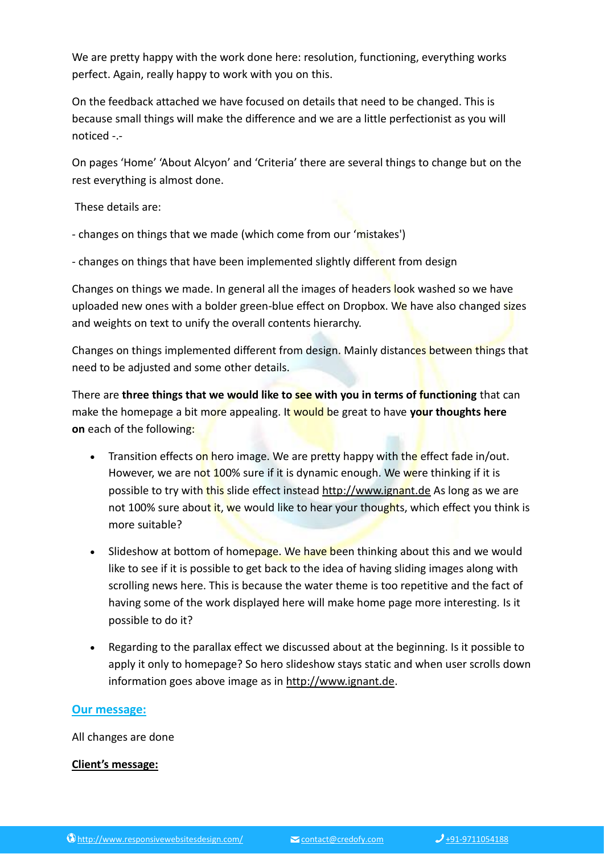We are pretty happy with the work done here: resolution, functioning, everything works perfect. Again, really happy to work with you on this.

On the feedback attached we have focused on details that need to be changed. This is because small things will make the difference and we are a little perfectionist as you will noticed -.-

On pages 'Home' 'About Alcyon' and 'Criteria' there are several things to change but on the rest everything is almost done.

These details are:

- changes on things that we made (which come from our 'mistakes')

- changes on things that have been implemented slightly different from design

Changes on things we made. In general all the images of headers look washed so we have uploaded new ones with a bolder green-blue effect on Dropbox. We have also changed sizes and weights on text to unify the overall contents hierarchy.

Changes on things implemented different from design. Mainly distances between things that need to be adjusted and some other details.

There are **three things that we would like to see with you in terms of functioning** that can make the homepage a bit more appealing. It would be great to have **your thoughts here on** each of the following:

- Transition effects on hero image. We are pretty happy with the effect fade in/out. However, we are not 100% sure if it is dynamic enough. We were thinking if it is possible to try with this slide effect instead [http://www.ignant.de](http://www.ignant.de/) As long as we are not 100% sure about it, we would like to hear your thoughts, which effect you think is more suitable?
- Slideshow at bottom of homepage. We have been thinking about this and we would like to see if it is possible to get back to the idea of having sliding images along with scrolling news here. This is because the water theme is too repetitive and the fact of having some of the work displayed here will make home page more interesting. Is it possible to do it?
- Regarding to the parallax effect we discussed about at the beginning. Is it possible to apply it only to homepage? So hero slideshow stays static and when user scrolls down information goes above image as in [http://www.ignant.de.](http://www.ignant.de/)

# **Our message:**

All changes are done

#### **Client's message:**